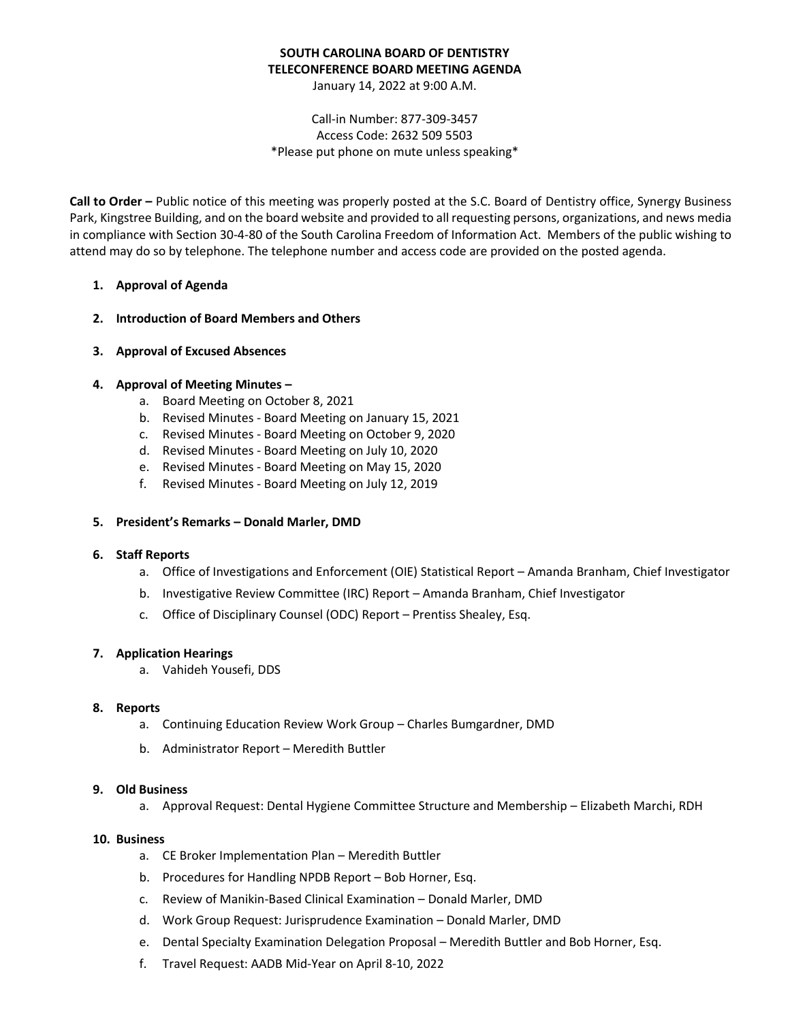## **SOUTH CAROLINA BOARD OF DENTISTRY TELECONFERENCE BOARD MEETING AGENDA**

January 14, 2022 at 9:00 A.M.

## Call-in Number: 877-309-3457 Access Code: 2632 509 5503 \*Please put phone on mute unless speaking\*

**Call to Order –** Public notice of this meeting was properly posted at the S.C. Board of Dentistry office, Synergy Business Park, Kingstree Building, and on the board website and provided to all requesting persons, organizations, and news media in compliance with Section 30-4-80 of the South Carolina Freedom of Information Act. Members of the public wishing to attend may do so by telephone. The telephone number and access code are provided on the posted agenda.

## **1. Approval of Agenda**

- **2. Introduction of Board Members and Others**
- **3. Approval of Excused Absences**

## **4. Approval of Meeting Minutes –**

- a. Board Meeting on October 8, 2021
- b. Revised Minutes Board Meeting on January 15, 2021
- c. Revised Minutes Board Meeting on October 9, 2020
- d. Revised Minutes Board Meeting on July 10, 2020
- e. Revised Minutes Board Meeting on May 15, 2020
- f. Revised Minutes Board Meeting on July 12, 2019

#### **5. President's Remarks – Donald Marler, DMD**

#### **6. Staff Reports**

- a. Office of Investigations and Enforcement (OIE) Statistical Report Amanda Branham, Chief Investigator
- b. Investigative Review Committee (IRC) Report Amanda Branham, Chief Investigator
- c. Office of Disciplinary Counsel (ODC) Report Prentiss Shealey, Esq.

#### **7. Application Hearings**

a. Vahideh Yousefi, DDS

#### **8. Reports**

- a. Continuing Education Review Work Group Charles Bumgardner, DMD
- b. Administrator Report Meredith Buttler

#### **9. Old Business**

a. Approval Request: Dental Hygiene Committee Structure and Membership – Elizabeth Marchi, RDH

#### **10. Business**

- a. CE Broker Implementation Plan Meredith Buttler
- b. Procedures for Handling NPDB Report Bob Horner, Esq.
- c. Review of Manikin-Based Clinical Examination Donald Marler, DMD
- d. Work Group Request: Jurisprudence Examination Donald Marler, DMD
- e. Dental Specialty Examination Delegation Proposal Meredith Buttler and Bob Horner, Esq.
- f. Travel Request: AADB Mid-Year on April 8-10, 2022